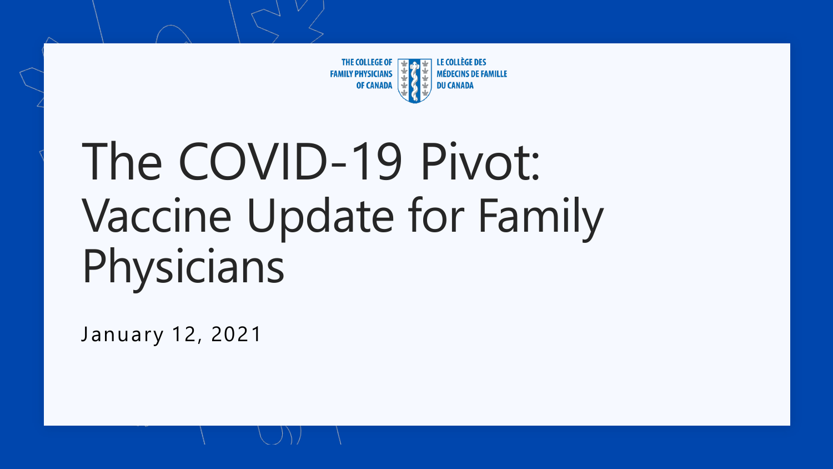

# The COVID-19 Pivot: Vaccine Update for Family Physicians

January 12, 2021

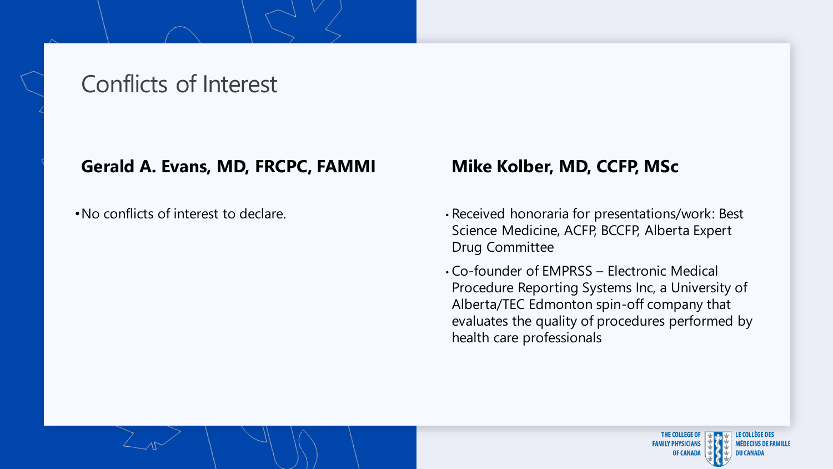## Conflicts of Interest

#### **Gerald A. Evans, MD, FRCPC, FAMMI**

•No conflicts of interest to declare.

### **Mike Kolber, MD, CCFP, MSc**

- Received honoraria for presentations/work: Best Science Medicine, ACFP, BCCFP, Alberta Expert Drug Committee
- Co-founder of EMPRSS Electronic Medical Procedure Reporting Systems Inc, a University of Alberta/TEC Edmonton spin-off company that evaluates the quality of procedures performed by health care professionals

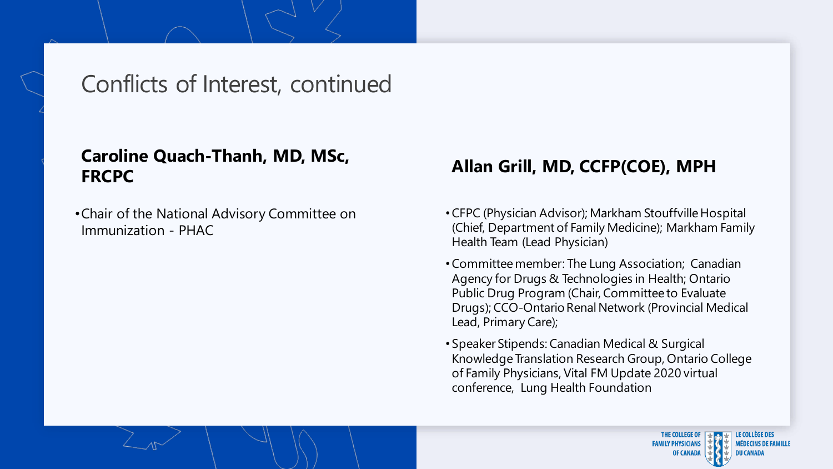## Conflicts of Interest, continued

#### **Caroline Quach-Thanh, MD, MSc, FRCPC**

•Chair of the National Advisory Committee on Immunization - PHAC

#### **Allan Grill, MD, CCFP(COE), MPH**

- •CFPC (Physician Advisor); Markham Stouffville Hospital (Chief, Department of Family Medicine); Markham Family Health Team (Lead Physician)
- •Committee member: The Lung Association; Canadian Agency for Drugs & Technologies in Health; Ontario Public Drug Program (Chair, Committee to Evaluate Drugs); CCO-Ontario Renal Network (Provincial Medical Lead, Primary Care);
- Speaker Stipends: Canadian Medical & Surgical Knowledge Translation Research Group, Ontario College of Family Physicians, Vital FM Update 2020 virtual conference, Lung Health Foundation

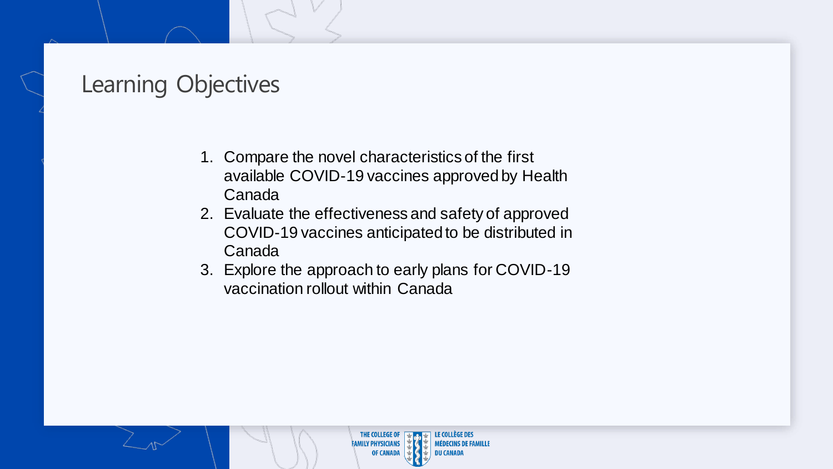## Learning Objectives

- 1. Compare the novel characteristics of the first available COVID-19 vaccines approved by Health Canada
- 2. Evaluate the effectiveness and safety of approved COVID-19 vaccines anticipated to be distributed in Canada
- 3. Explore the approach to early plans for COVID-19 vaccination rollout within Canada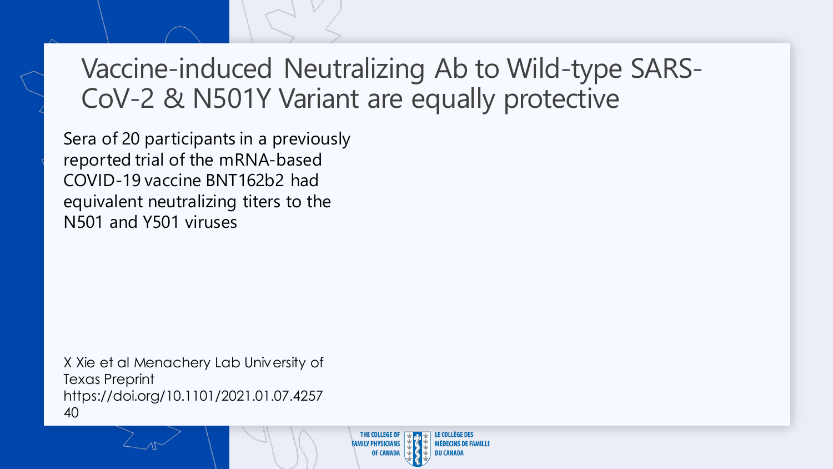## Vaccine-induced Neutralizing Ab to Wild-type SARS-CoV-2 & N501Y Variant are equally protective

Sera of 20 participants in a previously reported trial of the mRNA-based COVID-19 vaccine BNT162b2 had equivalent neutralizing titers to the N501 and Y501 viruses

X Xie et al Menachery Lab University of Texas Preprint https://doi.org/10.1101/2021.01.07.4257 40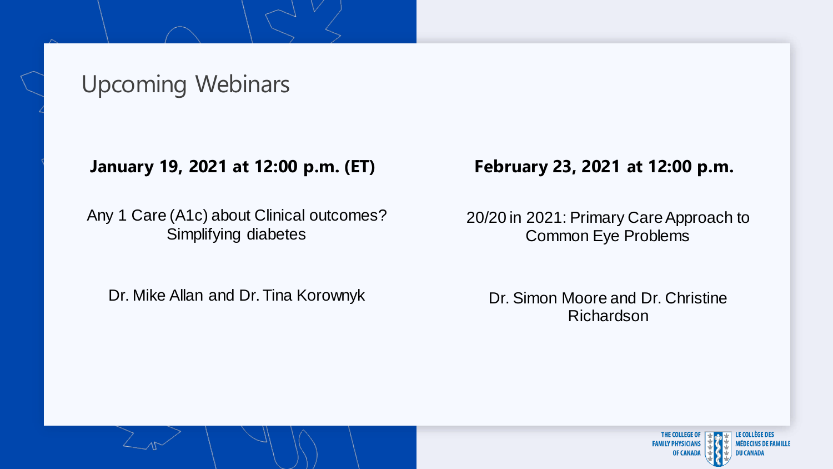## Upcoming Webinars

#### **January 19, 2021 at 12:00 p.m. (ET)**

Any 1 Care (A1c) about Clinical outcomes? Simplifying diabetes

Dr. Mike Allan and Dr. Tina Korownyk

#### **February 23, 2021 at 12:00 p.m.**

20/20 in 2021: Primary Care Approach to Common Eye Problems

Dr. Simon Moore and Dr. Christine Richardson